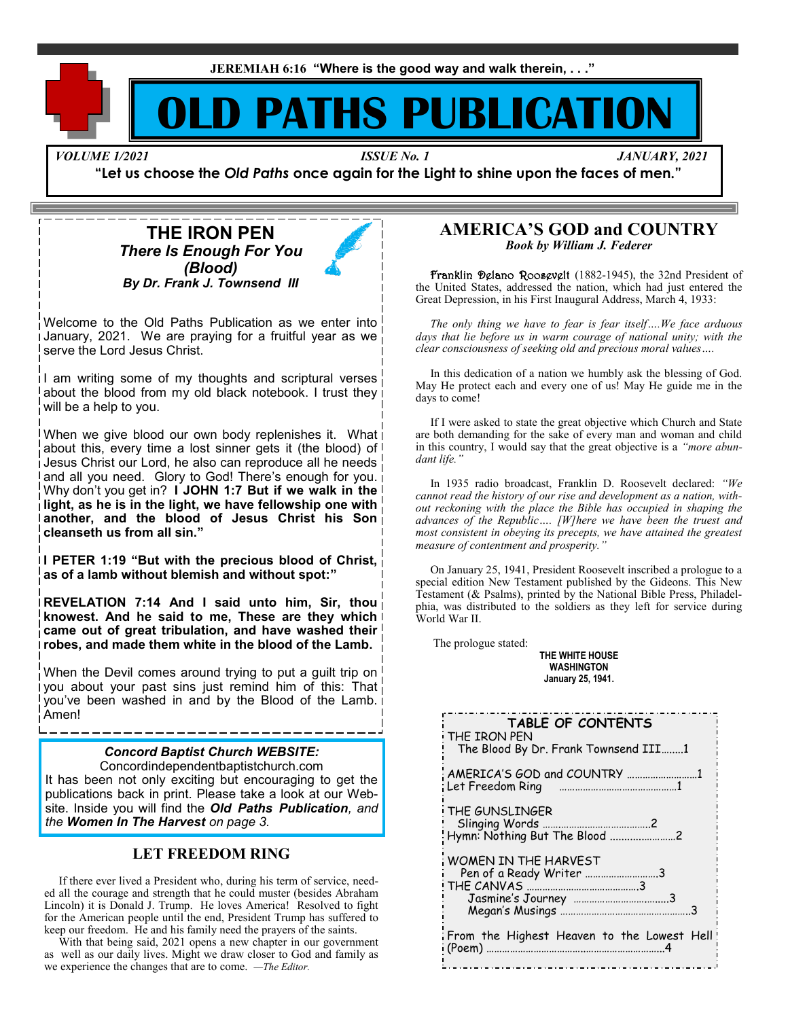**JEREMIAH 6:16 "Where is the good way and walk therein, . . ."**

# **PATHS PUBLICATI**

*VOLUME 1/2021 ISSUE No. 1 JANUARY, 2021*

**"Let us choose the** *Old Paths* **once again for the Light to shine upon the faces of men."**

# **THE IRON PEN** *There Is Enough For You (Blood) By Dr. Frank J. Townsend III*

Welcome to the Old Paths Publication as we enter into January, 2021. We are praying for a fruitful year as we serve the Lord Jesus Christ.

I am writing some of my thoughts and scriptural verses about the blood from my old black notebook. I trust they will be a help to you.

When we give blood our own body replenishes it. What power about this, every time a lost sinner gets it (the blood) of Jesus Christ our Lord, he also can reproduce all he needs and all you need. Glory to God! There's enough for you. Why don't you get in? **I JOHN 1:7 But if we walk in the light, as he is in the light, we have fellowship one with another, and the blood of Jesus Christ his Son cleanseth us from all sin."**

**I PETER 1:19 "But with the precious blood of Christ, as of a lamb without blemish and without spot:"**

**REVELATION 7:14 And I said unto him, Sir, thou knowest. And he said to me, These are they which came out of great tribulation, and have washed their robes, and made them white in the blood of the Lamb.**

When the Devil comes around trying to put a guilt trip on you about your past sins just remind him of this: That you've been washed in and by the Blood of the Lamb. i<br>Amen! Amen!<br> **TABLE OF CONTENTS** 

## *Concord Baptist Church WEBSITE:*

Concordindependentbaptistchurch.com It has been not only exciting but encouraging to get the publications back in print. Please take a look at our Website. Inside you will find the *Old Paths Publication, and the Women In The Harvest on page 3.*

## **LET FREEDOM RING**

 If there ever lived a President who, during his term of service, needed all the courage and strength that he could muster (besides Abraham Lincoln) it is Donald J. Trump. He loves America! Resolved to fight for the American people until the end, President Trump has suffered to keep our freedom. He and his family need the prayers of the saints.

 With that being said, 2021 opens a new chapter in our government as well as our daily lives. Might we draw closer to God and family as we experience the changes that are to come. *—The Editor.*

## **AMERICA'S GOD and COUNTRY** *Book by William J. Federer*

 Franklin Delano Roosevelt (1882-1945), the 32nd President of the United States, addressed the nation, which had just entered the Great Depression, in his First Inaugural Address, March 4, 1933:

 *The only thing we have to fear is fear itself….We face arduous days that lie before us in warm courage of national unity; with the clear consciousness of seeking old and precious moral values….*

 In this dedication of a nation we humbly ask the blessing of God. May He protect each and every one of us! May He guide me in the days to come!

 If I were asked to state the great objective which Church and State are both demanding for the sake of every man and woman and child in this country, I would say that the great objective is a *"more abundant life."*

 In 1935 radio broadcast, Franklin D. Roosevelt declared: *"We cannot read the history of our rise and development as a nation, without reckoning with the place the Bible has occupied in shaping the advances of the Republic…. [W]here we have been the truest and most consistent in obeying its precepts, we have attained the greatest measure of contentment and prosperity."*

On January 25, 1941, President Roosevelt inscribed a prologue to a special edition New Testament published by the Gideons. This New Testament (& Psalms), printed by the National Bible Press, Philadelphia, was distributed to the soldiers as they left for service during World War II.

The prologue stated:

**THE WHITE HOUSE WASHINGTON January 25, 1941.**

| TABLE OF CONTENTS<br>THE IRON PEN<br>The Blood By Dr. Frank Townsend III1 |
|---------------------------------------------------------------------------|
| AMERICA'S GOD and COUNTRY 1<br>Let Freedom Ring                           |
| THE GUNSLINGER<br>Hymn: Nothing But The Blood 2                           |
| WOMEN IN THE HARVEST<br>Pen of a Ready Writer 3                           |
| From the Highest Heaven to the Lowest Hell<br>.                           |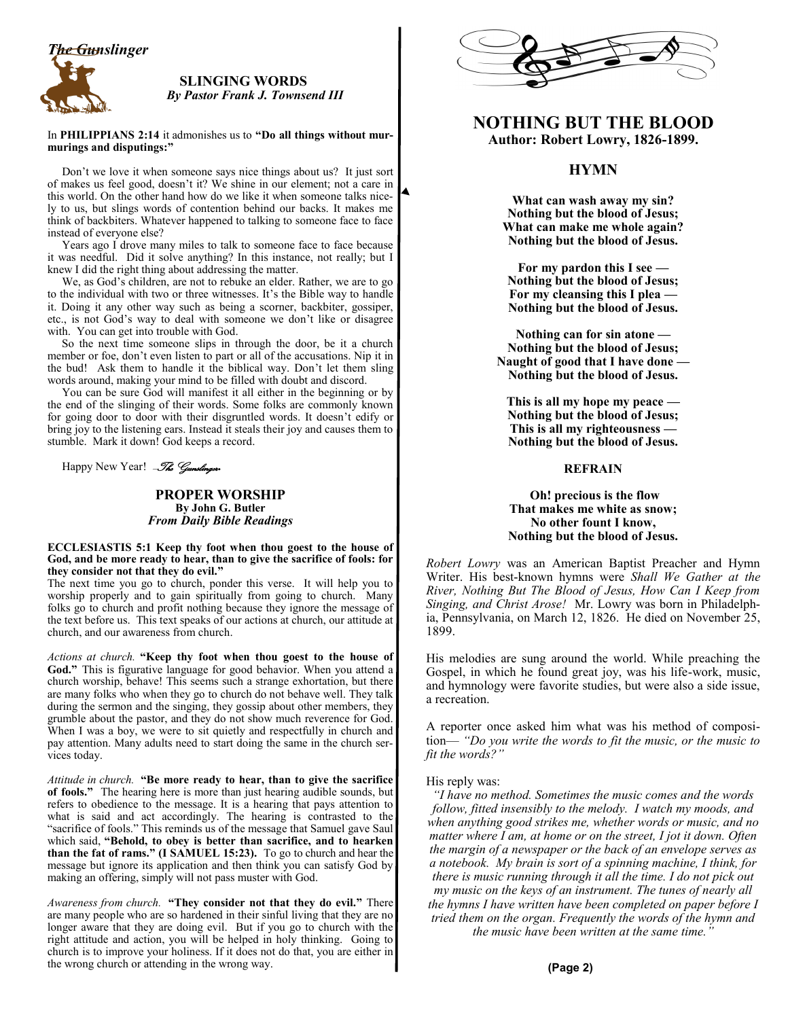

#### **SLINGING WORDS**  *By Pastor Frank J. Townsend III*

In **PHILIPPIANS 2:14** it admonishes us to **"Do all things without murmurings and disputings:"**

 Don't we love it when someone says nice things about us? It just sort of makes us feel good, doesn't it? We shine in our element; not a care in this world. On the other hand how do we like it when someone talks nicely to us, but slings words of contention behind our backs. It makes me think of backbiters. Whatever happened to talking to someone face to face instead of everyone else?

 Years ago I drove many miles to talk to someone face to face because it was needful. Did it solve anything? In this instance, not really; but I knew I did the right thing about addressing the matter.

 We, as God's children, are not to rebuke an elder. Rather, we are to go to the individual with two or three witnesses. It's the Bible way to handle it. Doing it any other way such as being a scorner, backbiter, gossiper, etc., is not God's way to deal with someone we don't like or disagree with. You can get into trouble with God.

 So the next time someone slips in through the door, be it a church member or foe, don't even listen to part or all of the accusations. Nip it in the bud! Ask them to handle it the biblical way. Don't let them sling words around, making your mind to be filled with doubt and discord.

 You can be sure God will manifest it all either in the beginning or by the end of the slinging of their words. Some folks are commonly known for going door to door with their disgruntled words. It doesn't edify or bring joy to the listening ears. Instead it steals their joy and causes them to stumble. Mark it down! God keeps a record.

Happy New Year! *-The Gunslinger*.

**PROPER WORSHIP By John G. Butler** *From Daily Bible Readings*

#### **ECCLESIASTIS 5:1 Keep thy foot when thou goest to the house of God, and be more ready to hear, than to give the sacrifice of fools: for they consider not that they do evil."**

The next time you go to church, ponder this verse. It will help you to worship properly and to gain spiritually from going to church. Many folks go to church and profit nothing because they ignore the message of the text before us. This text speaks of our actions at church, our attitude at church, and our awareness from church.

*Actions at church.* **"Keep thy foot when thou goest to the house of God."** This is figurative language for good behavior. When you attend a church worship, behave! This seems such a strange exhortation, but there are many folks who when they go to church do not behave well. They talk during the sermon and the singing, they gossip about other members, they grumble about the pastor, and they do not show much reverence for God. When I was a boy, we were to sit quietly and respectfully in church and pay attention. Many adults need to start doing the same in the church services today.

*Attitude in church.* **"Be more ready to hear, than to give the sacrifice of fools."** The hearing here is more than just hearing audible sounds, but refers to obedience to the message. It is a hearing that pays attention to what is said and act accordingly. The hearing is contrasted to the "sacrifice of fools." This reminds us of the message that Samuel gave Saul which said, **"Behold, to obey is better than sacrifice, and to hearken than the fat of rams." (I SAMUEL 15:23).** To go to church and hear the message but ignore its application and then think you can satisfy God by making an offering, simply will not pass muster with God.

*Awareness from church.* **"They consider not that they do evil."** There are many people who are so hardened in their sinful living that they are no longer aware that they are doing evil. But if you go to church with the right attitude and action, you will be helped in holy thinking. Going to church is to improve your holiness. If it does not do that, you are either in the wrong church or attending in the wrong way.



# **NOTHING BUT THE BLOOD Author: Robert Lowry, 1826-1899.**

## **HYMN**

**What can wash away my sin? Nothing but the blood of Jesus; What can make me whole again? Nothing but the blood of Jesus.**

**For my pardon this I see — Nothing but the blood of Jesus; For my cleansing this I plea — Nothing but the blood of Jesus.**

**Nothing can for sin atone — Nothing but the blood of Jesus; Naught of good that I have done — Nothing but the blood of Jesus.**

**This is all my hope my peace — Nothing but the blood of Jesus; This is all my righteousness — Nothing but the blood of Jesus.**

#### **REFRAIN**

#### **Oh! precious is the flow That makes me white as snow; No other fount I know, Nothing but the blood of Jesus.**

*Robert Lowry* was an American Baptist Preacher and Hymn Writer. His best-known hymns were *Shall We Gather at the River, Nothing But The Blood of Jesus, How Can I Keep from Singing, and Christ Arose!* Mr. Lowry was born in Philadelphia, Pennsylvania, on March 12, 1826. He died on November 25, 1899.

His melodies are sung around the world. While preaching the Gospel, in which he found great joy, was his life-work, music, and hymnology were favorite studies, but were also a side issue, a recreation.

A reporter once asked him what was his method of composition— *"Do you write the words to fit the music, or the music to fit the words?"* 

His reply was:

*"I have no method. Sometimes the music comes and the words follow, fitted insensibly to the melody. I watch my moods, and when anything good strikes me, whether words or music, and no matter where I am, at home or on the street, I jot it down. Often the margin of a newspaper or the back of an envelope serves as a notebook. My brain is sort of a spinning machine, I think, for there is music running through it all the time. I do not pick out my music on the keys of an instrument. The tunes of nearly all the hymns I have written have been completed on paper before I tried them on the organ. Frequently the words of the hymn and the music have been written at the same time."*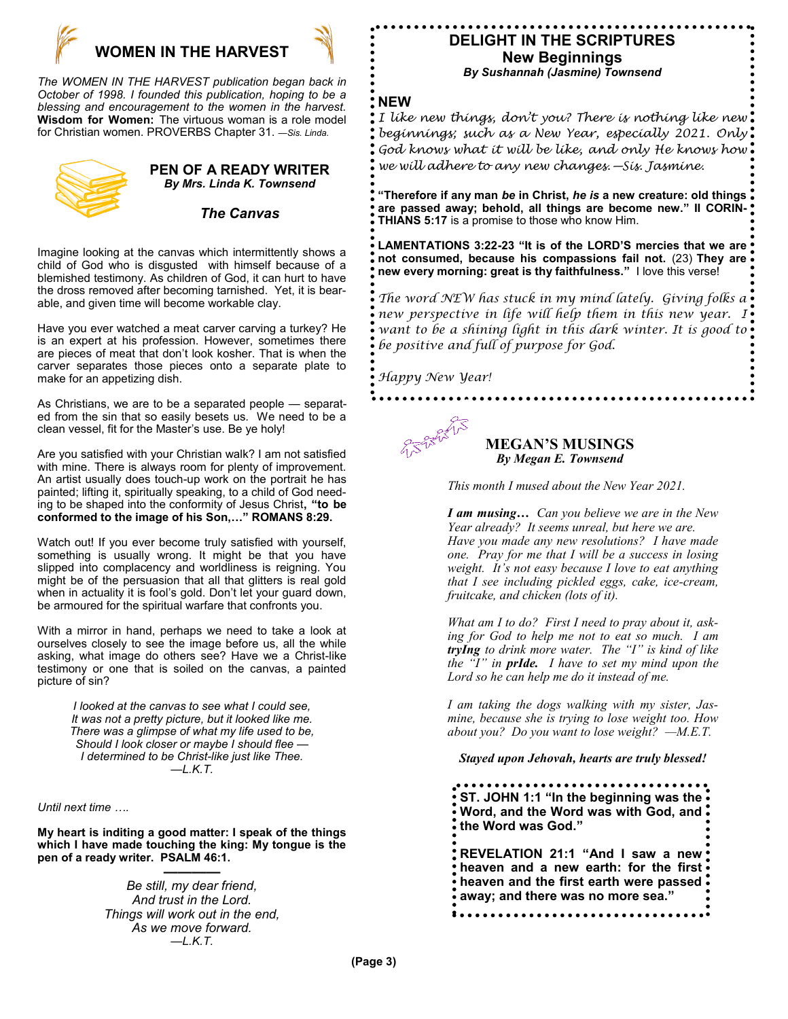

*The WOMEN IN THE HARVEST publication began back in October of 1998. I founded this publication, hoping to be a blessing and encouragement to the women in the harvest.* **Wisdom for Women:** The virtuous woman is a role model for Christian women. PROVERBS Chapter 31. *—Sis. Linda.*



# **PEN OF A READY WRITER** *By Mrs. Linda K. Townsend*

## *The Canvas*

Imagine looking at the canvas which intermittently shows a child of God who is disgusted with himself because of a blemished testimony. As children of God, it can hurt to have the dross removed after becoming tarnished. Yet, it is bearable, and given time will become workable clay.

Have you ever watched a meat carver carving a turkey? He is an expert at his profession. However, sometimes there are pieces of meat that don't look kosher. That is when the carver separates those pieces onto a separate plate to make for an appetizing dish.

As Christians, we are to be a separated people — separated from the sin that so easily besets us. We need to be a clean vessel, fit for the Master's use. Be ye holy!

Are you satisfied with your Christian walk? I am not satisfied with mine. There is always room for plenty of improvement. An artist usually does touch-up work on the portrait he has painted; lifting it, spiritually speaking, to a child of God needing to be shaped into the conformity of Jesus Christ**, "to be conformed to the image of his Son,…" ROMANS 8:29.**

Watch out! If you ever become truly satisfied with yourself, something is usually wrong. It might be that you have slipped into complacency and worldliness is reigning. You might be of the persuasion that all that glitters is real gold when in actuality it is fool's gold. Don't let your guard down, be armoured for the spiritual warfare that confronts you.

With a mirror in hand, perhaps we need to take a look at ourselves closely to see the image before us, all the while asking, what image do others see? Have we a Christ-like testimony or one that is soiled on the canvas, a painted picture of sin?

> *I looked at the canvas to see what I could see, It was not a pretty picture, but it looked like me. There was a glimpse of what my life used to be, Should I look closer or maybe I should flee — I determined to be Christ-like just like Thee. —L.K.T.*

*Until next time ….*

**My heart is inditing a good matter: I speak of the things which I have made touching the king: My tongue is the pen of a ready writer. PSALM 46:1.**

**————** *Be still, my dear friend, And trust in the Lord. Things will work out in the end, As we move forward. —L.K.T.*

# **DELIGHT IN THE SCRIPTURES New Beginnings** *By Sushannah (Jasmine) Townsend*

## **NEW**

*I like new things, don't you? There is nothing like new beginnings; such as a New Year, especially 2021. Only God knows what it will be like, and only He knows how we will adhere to any new changes.—Sis. Jasmine.*

**"Therefore if any man** *be* **in Christ,** *he is* **a new creature: old things are passed away; behold, all things are become new." II CORIN-THIANS 5:17** is a promise to those who know Him.

**LAMENTATIONS 3:22-23 "It is of the LORD'S mercies that we are not consumed, because his compassions fail not.** (23) **They are new every morning: great is thy faithfulness."** I love this verse!

*The word NEW has stuck in my mind lately. Giving folks a new perspective in life will help them in this new year. I want to be a shining light in this dark winter. It is good to be positive and full of purpose for God.*

*Happy New Year!* 

**MEGAN'S MUSINGS** *By Megan E. Townsend*

*This month I mused about the New Year 2021.*

*I am musing… Can you believe we are in the New Year already? It seems unreal, but here we are. Have you made any new resolutions? I have made one. Pray for me that I will be a success in losing weight. It's not easy because I love to eat anything that I see including pickled eggs, cake, ice-cream, fruitcake, and chicken (lots of it).*

*What am I to do? First I need to pray about it, asking for God to help me not to eat so much. I am tryIng to drink more water. The "I" is kind of like the "I" in prIde. I have to set my mind upon the Lord so he can help me do it instead of me.*

*I am taking the dogs walking with my sister, Jasmine, because she is trying to lose weight too. How about you? Do you want to lose weight? —M.E.T.*

*Stayed upon Jehovah, hearts are truly blessed!*

**ST. JOHN 1:1 "In the beginning was the Word, and the Word was with God, and the Word was God." REVELATION 21:1 "And I saw a new heaven and a new earth: for the first heaven and the first earth were passed away; and there was no more sea."**